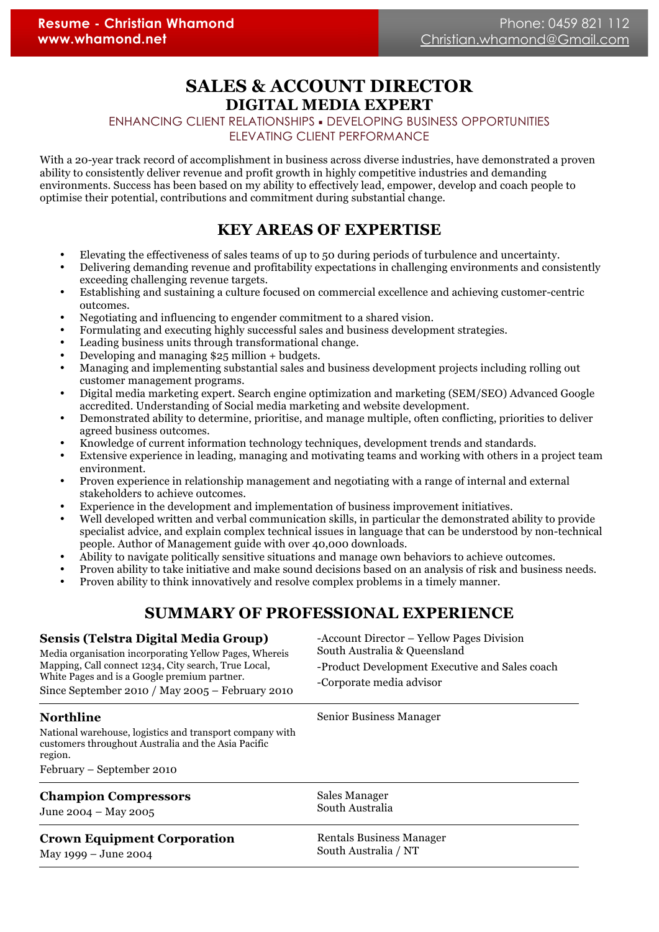# **SALES & ACCOUNT DIRECTOR DIGITAL MEDIA EXPERT**

#### ENHANCING CLIENT RELATIONSHIPS ! DEVELOPING BUSINESS OPPORTUNITIES ELEVATING CLIENT PERFORMANCE

With a 20-year track record of accomplishment in business across diverse industries, have demonstrated a proven ability to consistently deliver revenue and profit growth in highly competitive industries and demanding environments. Success has been based on my ability to effectively lead, empower, develop and coach people to optimise their potential, contributions and commitment during substantial change.

# **KEY AREAS OF EXPERTISE**

- Elevating the effectiveness of sales teams of up to 50 during periods of turbulence and uncertainty.
- Delivering demanding revenue and profitability expectations in challenging environments and consistently exceeding challenging revenue targets.
- Establishing and sustaining a culture focused on commercial excellence and achieving customer-centric outcomes.
- Negotiating and influencing to engender commitment to a shared vision.
- Formulating and executing highly successful sales and business development strategies.
- Leading business units through transformational change.
- Developing and managing \$25 million + budgets.
- Managing and implementing substantial sales and business development projects including rolling out customer management programs.
- Digital media marketing expert. Search engine optimization and marketing (SEM/SEO) Advanced Google accredited. Understanding of Social media marketing and website development.
- Demonstrated ability to determine, prioritise, and manage multiple, often conflicting, priorities to deliver agreed business outcomes.
- Knowledge of current information technology techniques, development trends and standards.
- Extensive experience in leading, managing and motivating teams and working with others in a project team environment.
- Proven experience in relationship management and negotiating with a range of internal and external stakeholders to achieve outcomes.
- Experience in the development and implementation of business improvement initiatives.
- Well developed written and verbal communication skills, in particular the demonstrated ability to provide specialist advice, and explain complex technical issues in language that can be understood by non-technical people. Author of Management guide with over 40,000 downloads.
- Ability to navigate politically sensitive situations and manage own behaviors to achieve outcomes.
- Proven ability to take initiative and make sound decisions based on an analysis of risk and business needs.
- Proven ability to think innovatively and resolve complex problems in a timely manner.

# **SUMMARY OF PROFESSIONAL EXPERIENCE**

| <b>Sensis (Telstra Digital Media Group)</b><br>Media organisation incorporating Yellow Pages, Whereis<br>Mapping, Call connect 1234, City search, True Local,<br>White Pages and is a Google premium partner.<br>Since September 2010 / May 2005 - February 2010 | -Account Director – Yellow Pages Division<br>South Australia & Queensland<br>-Product Development Executive and Sales coach<br>-Corporate media advisor |
|------------------------------------------------------------------------------------------------------------------------------------------------------------------------------------------------------------------------------------------------------------------|---------------------------------------------------------------------------------------------------------------------------------------------------------|
| <b>Northline</b><br>National warehouse, logistics and transport company with<br>customers throughout Australia and the Asia Pacific<br>region.<br>February – September 2010                                                                                      | Senior Business Manager                                                                                                                                 |
| <b>Champion Compressors</b>                                                                                                                                                                                                                                      | Sales Manager                                                                                                                                           |
| June 2004 – May 2005                                                                                                                                                                                                                                             | South Australia                                                                                                                                         |
| <b>Crown Equipment Corporation</b>                                                                                                                                                                                                                               | <b>Rentals Business Manager</b>                                                                                                                         |
| May 1999 – June 2004                                                                                                                                                                                                                                             | South Australia / NT                                                                                                                                    |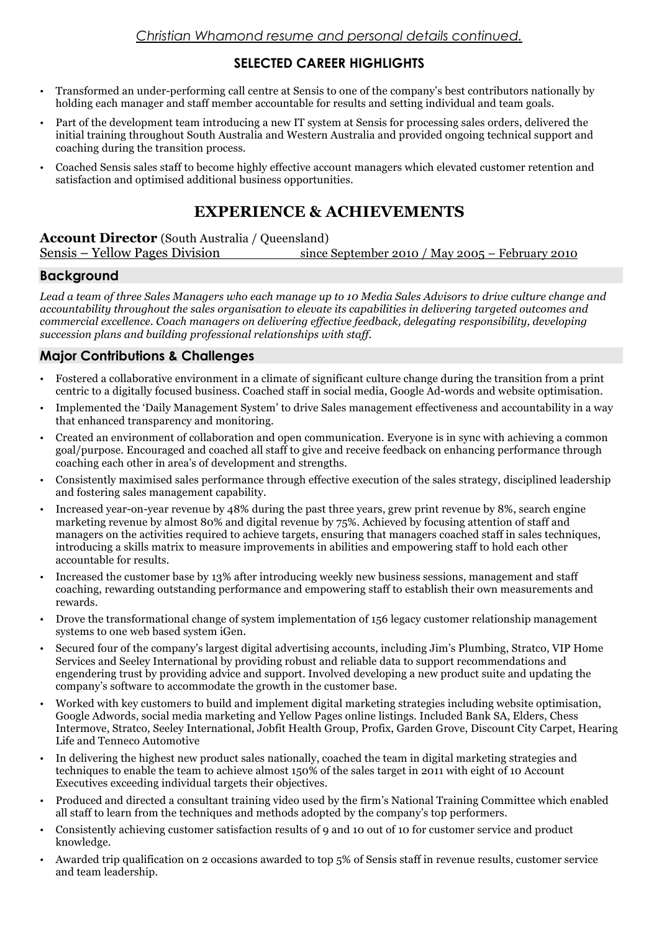## **SELECTED CAREER HIGHLIGHTS**

- Transformed an under-performing call centre at Sensis to one of the company's best contributors nationally by holding each manager and staff member accountable for results and setting individual and team goals.
- Part of the development team introducing a new IT system at Sensis for processing sales orders, delivered the initial training throughout South Australia and Western Australia and provided ongoing technical support and coaching during the transition process.
- Coached Sensis sales staff to become highly effective account managers which elevated customer retention and satisfaction and optimised additional business opportunities.

# **EXPERIENCE & ACHIEVEMENTS**

**Account Director** (South Australia / Queensland) Sensis – Yellow Pages Division since September 2010 / May 2005 – February 2010

### **Background**

*Lead a team of three Sales Managers who each manage up to 10 Media Sales Advisors to drive culture change and accountability throughout the sales organisation to elevate its capabilities in delivering targeted outcomes and commercial excellence. Coach managers on delivering effective feedback, delegating responsibility, developing succession plans and building professional relationships with staff.*

## **Major Contributions & Challenges**

- Fostered a collaborative environment in a climate of significant culture change during the transition from a print centric to a digitally focused business. Coached staff in social media, Google Ad-words and website optimisation.
- Implemented the 'Daily Management System' to drive Sales management effectiveness and accountability in a way that enhanced transparency and monitoring.
- Created an environment of collaboration and open communication. Everyone is in sync with achieving a common goal/purpose. Encouraged and coached all staff to give and receive feedback on enhancing performance through coaching each other in area's of development and strengths.
- Consistently maximised sales performance through effective execution of the sales strategy, disciplined leadership and fostering sales management capability.
- Increased year-on-year revenue by 48% during the past three years, grew print revenue by 8%, search engine marketing revenue by almost 80% and digital revenue by 75%. Achieved by focusing attention of staff and managers on the activities required to achieve targets, ensuring that managers coached staff in sales techniques, introducing a skills matrix to measure improvements in abilities and empowering staff to hold each other accountable for results.
- Increased the customer base by 13% after introducing weekly new business sessions, management and staff coaching, rewarding outstanding performance and empowering staff to establish their own measurements and rewards.
- Drove the transformational change of system implementation of 156 legacy customer relationship management systems to one web based system iGen.
- Secured four of the company's largest digital advertising accounts, including Jim's Plumbing, Stratco, VIP Home Services and Seeley International by providing robust and reliable data to support recommendations and engendering trust by providing advice and support. Involved developing a new product suite and updating the company's software to accommodate the growth in the customer base.
- Worked with key customers to build and implement digital marketing strategies including website optimisation, Google Adwords, social media marketing and Yellow Pages online listings. Included Bank SA, Elders, Chess Intermove, Stratco, Seeley International, Jobfit Health Group, Profix, Garden Grove, Discount City Carpet, Hearing Life and Tenneco Automotive
- In delivering the highest new product sales nationally, coached the team in digital marketing strategies and techniques to enable the team to achieve almost 150% of the sales target in 2011 with eight of 10 Account Executives exceeding individual targets their objectives.
- Produced and directed a consultant training video used by the firm's National Training Committee which enabled all staff to learn from the techniques and methods adopted by the company's top performers.
- Consistently achieving customer satisfaction results of 9 and 10 out of 10 for customer service and product knowledge.
- Awarded trip qualification on 2 occasions awarded to top 5% of Sensis staff in revenue results, customer service and team leadership.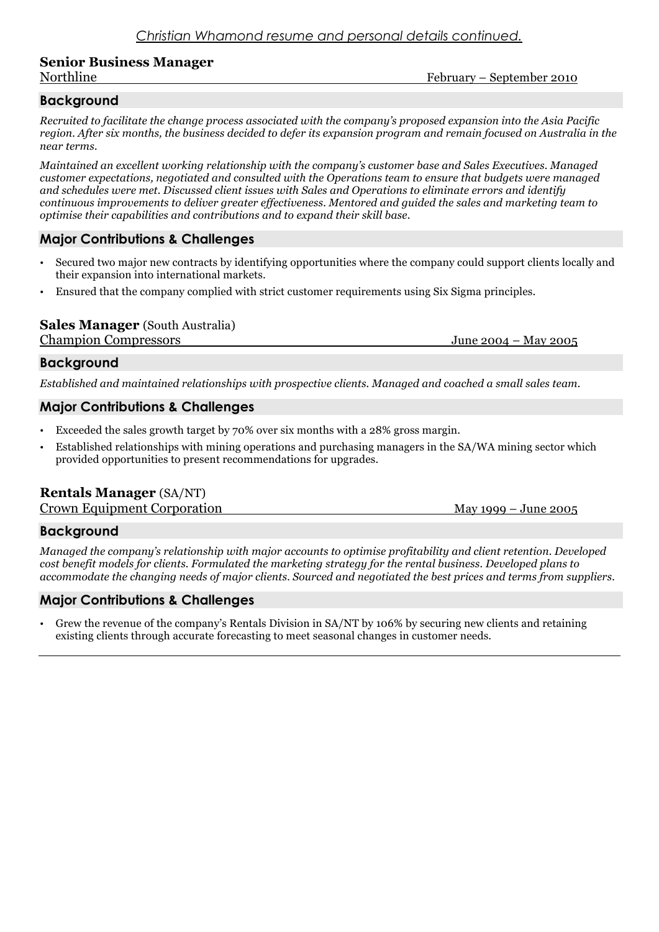# **Senior Business Manager**

Northline February – September 2010

## **Background**

*Recruited to facilitate the change process associated with the company's proposed expansion into the Asia Pacific region. After six months, the business decided to defer its expansion program and remain focused on Australia in the near terms.*

*Maintained an excellent working relationship with the company's customer base and Sales Executives. Managed customer expectations, negotiated and consulted with the Operations team to ensure that budgets were managed and schedules were met. Discussed client issues with Sales and Operations to eliminate errors and identify continuous improvements to deliver greater effectiveness. Mentored and guided the sales and marketing team to optimise their capabilities and contributions and to expand their skill base.*

## **Major Contributions & Challenges**

- Secured two major new contracts by identifying opportunities where the company could support clients locally and their expansion into international markets.
- Ensured that the company complied with strict customer requirements using Six Sigma principles.

# **Sales Manager** (South Australia)

Champion Compressors June 2004 – May 2005

#### **Background**

*Established and maintained relationships with prospective clients. Managed and coached a small sales team.*

### **Major Contributions & Challenges**

- Exceeded the sales growth target by 70% over six months with a 28% gross margin.
- Established relationships with mining operations and purchasing managers in the SA/WA mining sector which provided opportunities to present recommendations for upgrades.

## **Rentals Manager** (SA/NT)

Crown Equipment Corporation and May 1999 – June 2005

## **Background**

*Managed the company's relationship with major accounts to optimise profitability and client retention. Developed cost benefit models for clients. Formulated the marketing strategy for the rental business. Developed plans to accommodate the changing needs of major clients. Sourced and negotiated the best prices and terms from suppliers.*

## **Major Contributions & Challenges**

Grew the revenue of the company's Rentals Division in SA/NT by 106% by securing new clients and retaining existing clients through accurate forecasting to meet seasonal changes in customer needs.